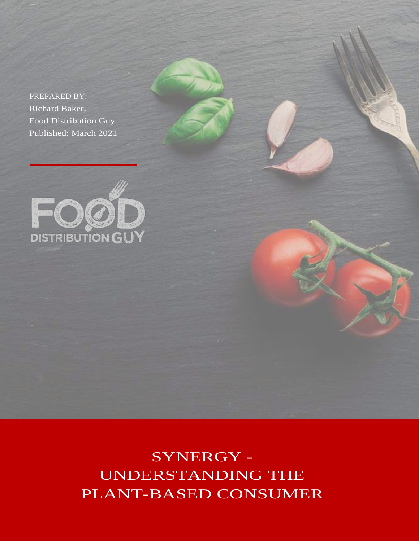PREPARED BY: Richard Baker, Food Distribution Guy Published: March 2021



SYNERGY - UNDERSTANDING THE PLANT-BASED CONSUMER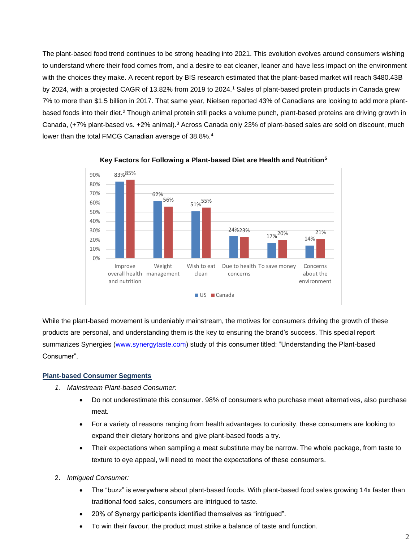The plant-based food trend continues to be strong heading into 2021. This evolution evolves around consumers wishing to understand where their food comes from, and a desire to eat cleaner, leaner and have less impact on the environment with the choices they make. A recent report by BIS research estimated that the plant-based market will reach \$480.43B by 2024, with a projected CAGR of 13.82% from 2019 to 2024.<sup>1</sup> Sales of plant-based protein products in Canada grew 7% to more than \$1.5 billion in 2017. That same year, Nielsen reported 43% of Canadians are looking to add more plantbased foods into their diet.<sup>2</sup> Though animal protein still packs a volume punch, plant-based proteins are driving growth in Canada, (+7% plant-based vs. +2% animal).<sup>3</sup> Across Canada only 23% of plant-based sales are sold on discount, much lower than the total FMCG Canadian average of 38.8%.<sup>4</sup>





While the plant-based movement is undeniably mainstream, the motives for consumers driving the growth of these products are personal, and understanding them is the key to ensuring the brand's success. This special report summarizes Synergies [\(www.synergytaste.com\)](http://www.synergytaste.com/) study of this consumer titled: "Understanding the Plant-based Consumer".

## **Plant-based Consumer Segments**

- *1. Mainstream Plant-based Consumer:*
	- Do not underestimate this consumer. 98% of consumers who purchase meat alternatives, also purchase meat.
	- For a variety of reasons ranging from health advantages to curiosity, these consumers are looking to expand their dietary horizons and give plant-based foods a try.
	- Their expectations when sampling a meat substitute may be narrow. The whole package, from taste to texture to eye appeal, will need to meet the expectations of these consumers.
- 2. *Intrigued Consumer:*
	- The "buzz" is everywhere about plant-based foods. With plant-based food sales growing 14x faster than traditional food sales, consumers are intrigued to taste.
	- 20% of Synergy participants identified themselves as "intrigued".
	- To win their favour, the product must strike a balance of taste and function.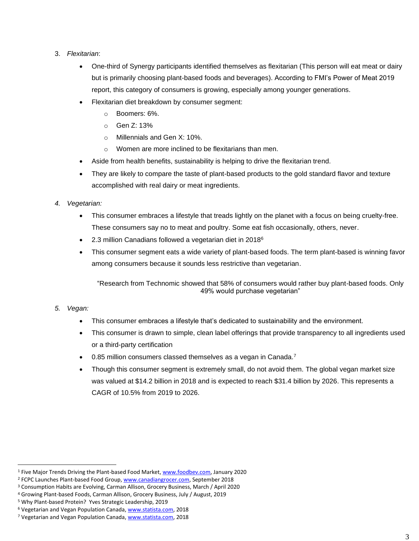- 3. *Flexitarian*:
	- One-third of Synergy participants identified themselves as flexitarian (This person will eat meat or dairy but is primarily choosing plant-based foods and beverages). According to FMI's Power of Meat 2019 report, this category of consumers is growing, especially among younger generations.
	- Flexitarian diet breakdown by consumer segment:
		- o Boomers: 6%.
		- o Gen Z: 13%
		- o Millennials and Gen X: 10%.
		- o Women are more inclined to be flexitarians than men.
	- Aside from health benefits, sustainability is helping to drive the flexitarian trend.
	- They are likely to compare the taste of plant-based products to the gold standard flavor and texture accomplished with real dairy or meat ingredients.
- *4. Vegetarian:*
	- This consumer embraces a lifestyle that treads lightly on the planet with a focus on being cruelty-free. These consumers say no to meat and poultry. Some eat fish occasionally, others, never.
	- 2.3 million Canadians followed a vegetarian diet in 2018<sup>6</sup>
	- This consumer segment eats a wide variety of plant-based foods. The term plant-based is winning favor among consumers because it sounds less restrictive than vegetarian.

"Research from Technomic showed that 58% of consumers would rather buy plant-based foods. Only 49% would purchase vegetarian"

## *5. Vegan:*

- This consumer embraces a lifestyle that's dedicated to sustainability and the environment.
- This consumer is drawn to simple, clean label offerings that provide transparency to all ingredients used or a third-party certification
- 0.85 million consumers classed themselves as a vegan in Canada.<sup>7</sup>
- Though this consumer segment is extremely small, do not avoid them. The global vegan market size was valued at \$14.2 billion in 2018 and is expected to reach \$31.4 billion by 2026. This represents a CAGR of 10.5% from 2019 to 2026.

<sup>1</sup> Five Major Trends Driving the Plant-based Food Market, [www.foodbev.com,](http://www.foodbev.com/) January 2020

<sup>2</sup> FCPC Launches Plant-based Food Group[, www.canadiangrocer.com,](http://www.canadiangrocer.com/) September 2018

<sup>3</sup> Consumption Habits are Evolving, Carman Allison, Grocery Business, March / April 2020

<sup>4</sup> Growing Plant-based Foods, Carman Allison, Grocery Business, July / August, 2019

<sup>5</sup> Why Plant-based Protein? Yves Strategic Leadership, 2019

<sup>6</sup> Vegetarian and Vegan Population Canada, [www.statista.com,](http://www.statista.com/) 2018

<sup>&</sup>lt;sup>7</sup> Vegetarian and Vegan Population Canada, [www.statista.com,](http://www.statista.com/) 2018